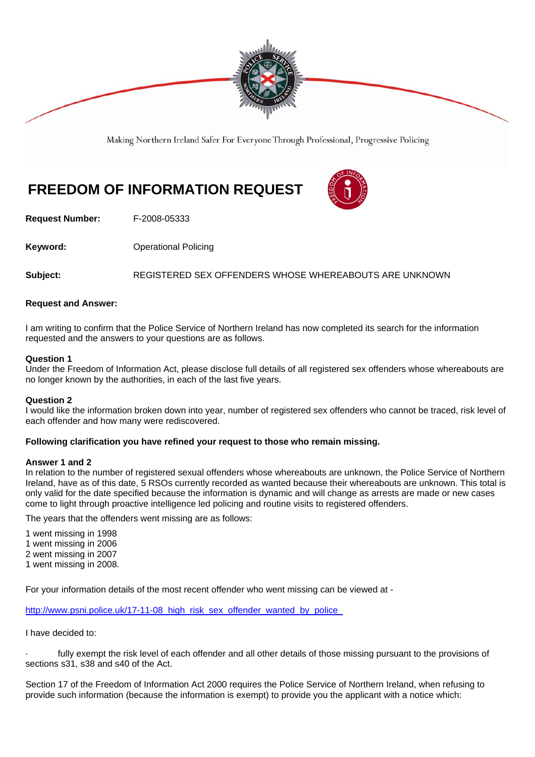

Making Northern Ireland Safer For Everyone Through Professional, Progressive Policing

# **FREEDOM OF INFORMATION REQUEST**



**Request Number:** F-2008-05333

**Keyword: C**Derational Policing

**Subject:** REGISTERED SEX OFFENDERS WHOSE WHEREABOUTS ARE UNKNOWN

# **Request and Answer:**

I am writing to confirm that the Police Service of Northern Ireland has now completed its search for the information requested and the answers to your questions are as follows.

#### **Question 1**

Under the Freedom of Information Act, please disclose full details of all registered sex offenders whose whereabouts are no longer known by the authorities, in each of the last five years.

# **Question 2**

I would like the information broken down into year, number of registered sex offenders who cannot be traced, risk level of each offender and how many were rediscovered.

# **Following clarification you have refined your request to those who remain missing.**

#### **Answer 1 and 2**

In relation to the number of registered sexual offenders whose whereabouts are unknown, the Police Service of Northern Ireland, have as of this date, 5 RSOs currently recorded as wanted because their whereabouts are unknown. This total is only valid for the date specified because the information is dynamic and will change as arrests are made or new cases come to light through proactive intelligence led policing and routine visits to registered offenders.

The years that the offenders went missing are as follows:

1 went missing in 1998

1 went missing in 2006

2 went missing in 2007

1 went missing in 2008.

For your information details of the most recent offender who went missing can be viewed at -

http://www.psni.police.uk/17-11-08\_high\_risk\_sex\_offender\_wanted\_by\_police

I have decided to:

fully exempt the risk level of each offender and all other details of those missing pursuant to the provisions of sections s31, s38 and s40 of the Act.

Section 17 of the Freedom of Information Act 2000 requires the Police Service of Northern Ireland, when refusing to provide such information (because the information is exempt) to provide you the applicant with a notice which: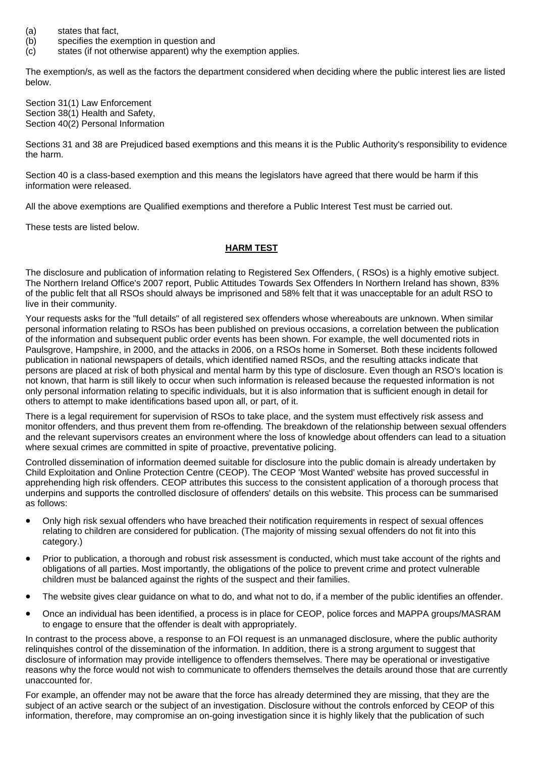- (a) states that fact,
- (b) specifies the exemption in question and
- (c) states (if not otherwise apparent) why the exemption applies.

The exemption/s, as well as the factors the department considered when deciding where the public interest lies are listed below.

Section 31(1) Law Enforcement Section 38(1) Health and Safety, Section 40(2) Personal Information

Sections 31 and 38 are Prejudiced based exemptions and this means it is the Public Authority's responsibility to evidence the harm.

Section 40 is a class-based exemption and this means the legislators have agreed that there would be harm if this information were released.

All the above exemptions are Qualified exemptions and therefore a Public Interest Test must be carried out.

These tests are listed below.

#### **HARM TEST**

The disclosure and publication of information relating to Registered Sex Offenders, ( RSOs) is a highly emotive subject. The Northern Ireland Office's 2007 report, Public Attitudes Towards Sex Offenders In Northern Ireland has shown, 83% of the public felt that all RSOs should always be imprisoned and 58% felt that it was unacceptable for an adult RSO to live in their community.

Your requests asks for the "full details" of all registered sex offenders whose whereabouts are unknown. When similar personal information relating to RSOs has been published on previous occasions, a correlation between the publication of the information and subsequent public order events has been shown. For example, the well documented riots in Paulsgrove, Hampshire, in 2000, and the attacks in 2006, on a RSOs home in Somerset. Both these incidents followed publication in national newspapers of details, which identified named RSOs, and the resulting attacks indicate that persons are placed at risk of both physical and mental harm by this type of disclosure. Even though an RSO's location is not known, that harm is still likely to occur when such information is released because the requested information is not only personal information relating to specific individuals, but it is also information that is sufficient enough in detail for others to attempt to make identifications based upon all, or part, of it.

There is a legal requirement for supervision of RSOs to take place, and the system must effectively risk assess and monitor offenders, and thus prevent them from re-offending. The breakdown of the relationship between sexual offenders and the relevant supervisors creates an environment where the loss of knowledge about offenders can lead to a situation where sexual crimes are committed in spite of proactive, preventative policing.

Controlled dissemination of information deemed suitable for disclosure into the public domain is already undertaken by Child Exploitation and Online Protection Centre (CEOP). The CEOP 'Most Wanted' website has proved successful in apprehending high risk offenders. CEOP attributes this success to the consistent application of a thorough process that underpins and supports the controlled disclosure of offenders' details on this website. This process can be summarised as follows:

- Only high risk sexual offenders who have breached their notification requirements in respect of sexual offences relating to children are considered for publication. (The majority of missing sexual offenders do not fit into this category.)
- Prior to publication, a thorough and robust risk assessment is conducted, which must take account of the rights and obligations of all parties. Most importantly, the obligations of the police to prevent crime and protect vulnerable children must be balanced against the rights of the suspect and their families.
- The website gives clear guidance on what to do, and what not to do, if a member of the public identifies an offender.
- Once an individual has been identified, a process is in place for CEOP, police forces and MAPPA groups/MASRAM to engage to ensure that the offender is dealt with appropriately.

In contrast to the process above, a response to an FOI request is an unmanaged disclosure, where the public authority relinquishes control of the dissemination of the information. In addition, there is a strong argument to suggest that disclosure of information may provide intelligence to offenders themselves. There may be operational or investigative reasons why the force would not wish to communicate to offenders themselves the details around those that are currently unaccounted for.

For example, an offender may not be aware that the force has already determined they are missing, that they are the subject of an active search or the subject of an investigation. Disclosure without the controls enforced by CEOP of this information, therefore, may compromise an on-going investigation since it is highly likely that the publication of such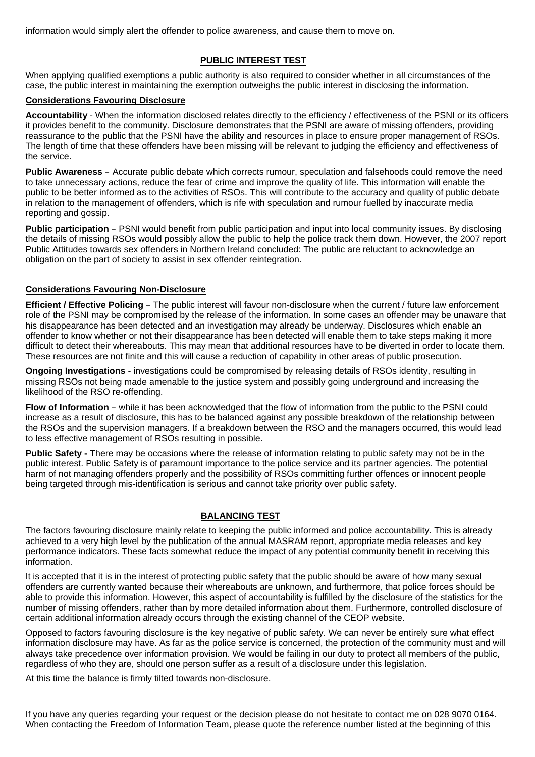information would simply alert the offender to police awareness, and cause them to move on.

# **PUBLIC INTEREST TEST**

When applying qualified exemptions a public authority is also required to consider whether in all circumstances of the case, the public interest in maintaining the exemption outweighs the public interest in disclosing the information.

### **Considerations Favouring Disclosure**

**Accountability** - When the information disclosed relates directly to the efficiency / effectiveness of the PSNI or its officers it provides benefit to the community. Disclosure demonstrates that the PSNI are aware of missing offenders, providing reassurance to the public that the PSNI have the ability and resources in place to ensure proper management of RSOs. The length of time that these offenders have been missing will be relevant to judging the efficiency and effectiveness of the service.

**Public Awareness** – Accurate public debate which corrects rumour, speculation and falsehoods could remove the need to take unnecessary actions, reduce the fear of crime and improve the quality of life. This information will enable the public to be better informed as to the activities of RSOs. This will contribute to the accuracy and quality of public debate in relation to the management of offenders, which is rife with speculation and rumour fuelled by inaccurate media reporting and gossip.

**Public participation** – PSNI would benefit from public participation and input into local community issues. By disclosing the details of missing RSOs would possibly allow the public to help the police track them down. However, the 2007 report Public Attitudes towards sex offenders in Northern Ireland concluded: The public are reluctant to acknowledge an obligation on the part of society to assist in sex offender reintegration.

# **Considerations Favouring Non-Disclosure**

**Efficient / Effective Policing** – The public interest will favour non-disclosure when the current / future law enforcement role of the PSNI may be compromised by the release of the information. In some cases an offender may be unaware that his disappearance has been detected and an investigation may already be underway. Disclosures which enable an offender to know whether or not their disappearance has been detected will enable them to take steps making it more difficult to detect their whereabouts. This may mean that additional resources have to be diverted in order to locate them. These resources are not finite and this will cause a reduction of capability in other areas of public prosecution.

**Ongoing Investigations** - investigations could be compromised by releasing details of RSOs identity, resulting in missing RSOs not being made amenable to the justice system and possibly going underground and increasing the likelihood of the RSO re-offending.

**Flow of Information** – while it has been acknowledged that the flow of information from the public to the PSNI could increase as a result of disclosure, this has to be balanced against any possible breakdown of the relationship between the RSOs and the supervision managers. If a breakdown between the RSO and the managers occurred, this would lead to less effective management of RSOs resulting in possible.

**Public Safety -** There may be occasions where the release of information relating to public safety may not be in the public interest. Public Safety is of paramount importance to the police service and its partner agencies. The potential harm of not managing offenders properly and the possibility of RSOs committing further offences or innocent people being targeted through mis-identification is serious and cannot take priority over public safety.

# **BALANCING TEST**

The factors favouring disclosure mainly relate to keeping the public informed and police accountability. This is already achieved to a very high level by the publication of the annual MASRAM report, appropriate media releases and key performance indicators. These facts somewhat reduce the impact of any potential community benefit in receiving this information.

It is accepted that it is in the interest of protecting public safety that the public should be aware of how many sexual offenders are currently wanted because their whereabouts are unknown, and furthermore, that police forces should be able to provide this information. However, this aspect of accountability is fulfilled by the disclosure of the statistics for the number of missing offenders, rather than by more detailed information about them. Furthermore, controlled disclosure of certain additional information already occurs through the existing channel of the CEOP website.

Opposed to factors favouring disclosure is the key negative of public safety. We can never be entirely sure what effect information disclosure may have. As far as the police service is concerned, the protection of the community must and will always take precedence over information provision. We would be failing in our duty to protect all members of the public, regardless of who they are, should one person suffer as a result of a disclosure under this legislation.

At this time the balance is firmly tilted towards non-disclosure.

If you have any queries regarding your request or the decision please do not hesitate to contact me on 028 9070 0164. When contacting the Freedom of Information Team, please quote the reference number listed at the beginning of this